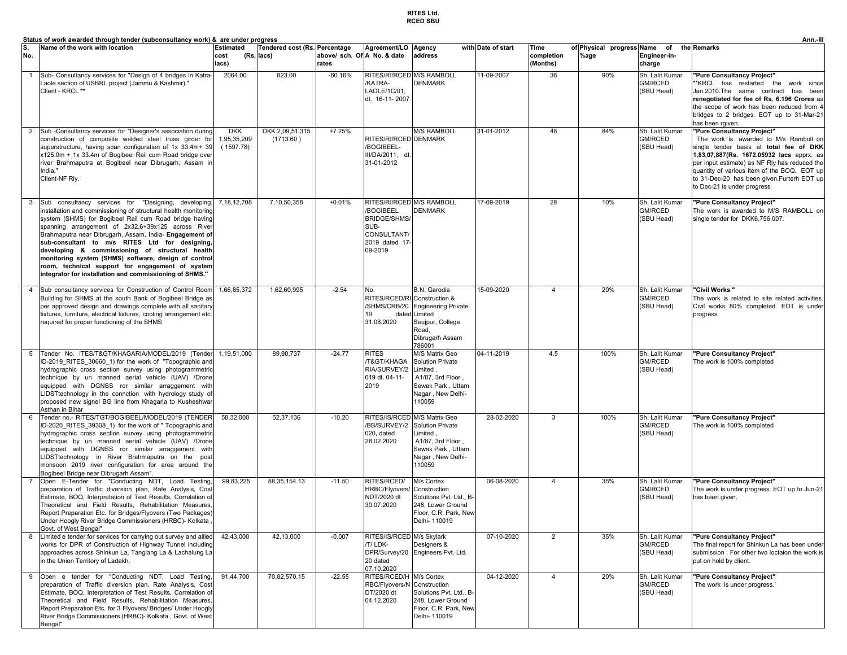## **RITES Ltd. RCED SBU**

|                         | Status of work awarded through tender (subconsultancy work) & are under progress                                                                                                                                                                                                                                                                                                                                                                                                                                                                                              |                                        | Ann.-III                                    |                                      |                                                                                                                        |                                                                                                                                |                    |                                |                                      |                                                 |                                                                                                                                                                                                                                                                                                                                          |  |
|-------------------------|-------------------------------------------------------------------------------------------------------------------------------------------------------------------------------------------------------------------------------------------------------------------------------------------------------------------------------------------------------------------------------------------------------------------------------------------------------------------------------------------------------------------------------------------------------------------------------|----------------------------------------|---------------------------------------------|--------------------------------------|------------------------------------------------------------------------------------------------------------------------|--------------------------------------------------------------------------------------------------------------------------------|--------------------|--------------------------------|--------------------------------------|-------------------------------------------------|------------------------------------------------------------------------------------------------------------------------------------------------------------------------------------------------------------------------------------------------------------------------------------------------------------------------------------------|--|
| S.<br>No.               | Name of the work with location                                                                                                                                                                                                                                                                                                                                                                                                                                                                                                                                                | <b>Estimated</b><br>cost<br>lacs)      | Tendered cost (Rs. Percentage<br>(Rs. lacs) | above/ sch. Of A No. & date<br>rates | Agreement/LO                                                                                                           | Agency<br>address                                                                                                              | with Date of start | Time<br>completion<br>(Months) | of Physical progress Name of<br>%age | Engineer-in-<br>charge                          | the Remarks                                                                                                                                                                                                                                                                                                                              |  |
| $\overline{1}$          | Sub- Consultancy services for "Design of 4 bridges in Katra-<br>Laole section of USBRL project (Jammu & Kashmir)."<br>Client - KRCL **                                                                                                                                                                                                                                                                                                                                                                                                                                        | 2064.00                                | 823.00                                      | $-60.16%$                            | RITES/RI/RCED M/S RAMBOLL<br>KATRA-<br>LAOLE/1C/01,<br>dt. 16-11-2007                                                  | <b>DENMARK</b>                                                                                                                 | 11-09-2007         | 36                             | 90%                                  | Sh. Lalit Kumar<br>GM/RCED<br>(SBU Head)        | "Pure Consultancy Project"<br>*KRCL has restarted the work since<br>Jan.2010.The same contract has been<br>renegotiated for fee of Rs. 6.196 Crores as<br>the scope of work has been reduced from 4<br>bridges to 2 bridges. EOT up to 31-Mar-21<br>has been rgiven.                                                                     |  |
| $\overline{2}$          | Sub -Consultancy services for "Designer's association during<br>construction of composite welded steel truss girder for<br>superstructure, having span configuration of 1x 33.4m+ 39<br>x125.0m + 1x 33.4m of Bogibeel Rail cum Road bridge over<br>river Brahmaputra at Bogibeel near Dibrugarh, Assam ir<br>India."<br>Client-NF Rly.                                                                                                                                                                                                                                       | <b>DKK</b><br>1,95,35,209<br>(1597.78) | DKK 2,09,51,315<br>(1713.60)                | $+7.25%$                             | RITES/RI/RCED DENMARK<br>BOGIBEEL-<br>III/DA/2011, dt.<br>31-01-2012                                                   | M/S RAMBOLL                                                                                                                    | 31-01-2012         | 48                             | 84%                                  | Sh. Lalit Kumar<br>GM/RCED<br>(SBU Head)        | "Pure Consultancy Project"<br>The work is awarded to M/s Ramboll on<br>single tender basis at total fee of DKK<br>1,83,07,887(Rs. 1672.05932 lacs apprx. as<br>per input estimate) as NF RIy has reduced the<br>quantity of various item of the BOQ. EOT up<br>to 31-Dec-20 has been given.Furterh EOT up<br>to Dec-21 is under progress |  |
| $\overline{\mathbf{3}}$ | Sub consultancy services for "Designing, developing,<br>installation and commissioning of structural health monitoring<br>system (SHMS) for Bogibeel Rail cum Road bridge having<br>spanning arrangement of 2x32.6+39x125 across River<br>Brahmaputra near Dibrugarh, Assam, India- Engagement of<br>sub-consultant to m/s RITES Ltd for designing,<br>developing & commissioning of structural health<br>monitoring system (SHMS) software, design of control<br>room, technical support for engagement of system<br>integrator for installation and commissioning of SHMS." | 7,18,12,708                            | 7,10,50,358                                 | $+0.01%$                             | RITES/RI/RCED M/S RAMBOLL<br><b>BOGIBEEL</b><br><b>BRIDGE/SHMS/</b><br>SUB-<br>CONSULTANT/<br>2019 dated 17<br>09-2019 | DENMARK                                                                                                                        | 17-09-2019         | 28                             | 10%                                  | Sh. Lalit Kumar<br>GM/RCED<br>(SBU Head)        | "Pure Consultancy Project"<br>The work is awarded to M/S RAMBOLL on<br>single tender for DKK6,756,007.                                                                                                                                                                                                                                   |  |
| $\overline{4}$          | Sub consultancy services for Construction of Control Room<br>Building for SHMS at the south Bank of Bogibeel Bridge as<br>per approved design and drawings complete with all sanitary<br>fixtures, furniture, electrical fixtures, cooling arrangement etc.<br>required for proper functioning of the SHMS                                                                                                                                                                                                                                                                    | 1,66,85,372                            | 1,62,60,995                                 | $-2.54$                              | No.<br>RITES/RCED/RI Construction &<br>SHMS/CRB/20<br>19<br>dated<br>31.08.2020                                        | <b>B.N.</b> Garodia<br><b>Engineering Private</b><br>Limited<br>Seujpur, College<br>Road,<br>Dibrugarh Assam<br>786001         | 15-09-2020         | $\overline{4}$                 | 20%                                  | Sh. Lalit Kumar<br>GM/RCED<br>(SBU Head)        | "Civil Works "<br>The work is related to site related activities.<br>Civil works 80% completed. EOT is under<br>progress                                                                                                                                                                                                                 |  |
| $5^{\circ}$             | Tender No. ITES/T>/KHAGARIA/MODEL/2019 (Tender<br>ID-2019 RITES 30660 1) for the work of "Topographic and<br>hydrographic cross section survey using photogrammetric<br>technique by un manned aerial vehicle (UAV) /Drone<br>equipped with DGNSS ror similar arraggement with<br>LIDSTtechnology in the connction with hydrology study of<br>proposed new signel BG line from Khagaria to Kusheshwar<br>Asthan in Bihar                                                                                                                                                      | 1,19,51,000                            | 89,90,737                                   | $-24.77$                             | <b>RITES</b><br>/T>/KHAGA<br>RIA/SURVEY/2<br>019 dt. 04-11-<br>2019                                                    | M/S Matrix Geo<br><b>Solution Private</b><br>Limited,<br>A1/87, 3rd Floor,<br>Sewak Park, Uttam<br>Nagar, New Delhi-<br>110059 | 04-11-2019         | 4.5                            | 100%                                 | Sh. Lalit Kumar<br>GM/RCED<br>(SBU Head)        | "Pure Consultancy Project"<br>The work is 100% completed                                                                                                                                                                                                                                                                                 |  |
| 6                       | Tender no.- RITES/TGT/BOGIBEEL/MODEL/2019 (TENDER<br>ID-2020 RITES 39308 1) for the work of " Topographic and<br>hydrographic cross section survey using photogrammetric<br>technique by un manned aerial vehicle (UAV) /Drone<br>equipped with DGNSS ror similar arraggement with<br>LIDSTtechnology in River Brahmaputra on the post<br>monsoon 2019 river configuration for area around the<br>Bogibeel Bridge near Dibrugarh Assam".                                                                                                                                      | 58,32,000                              | 52,37,136                                   | $-10.20$                             | RITES/IS/RCED<br>BB/SURVEY/2<br>020, dated<br>28.02.2020                                                               | M/S Matrix Geo<br><b>Solution Private</b><br>Limited,<br>A1/87, 3rd Floor,<br>Sewak Park, Uttam<br>Nagar, New Delhi-<br>110059 | 28-02-2020         | 3                              | 100%                                 | Sh. Lalit Kumar<br>GM/RCED<br>(SBU Head)        | "Pure Consultancy Project"<br>The work is 100% completed                                                                                                                                                                                                                                                                                 |  |
|                         | Open E-Tender for "Conducting NDT, Load Testing,<br>preparation of Traffic diversion plan, Rate Analysis, Cost<br>Estimate, BOQ, Interpretation of Test Results, Correlation of<br>Theoretical and Field Results, Rehabilitation Measures,<br>Report Preparation Etc. for Bridges/Flyovers (Two Packages)<br>Under Hoogly River Bridge Commissioners (HRBC)- Kolkata,<br>Govt. of West Bengal"                                                                                                                                                                                | 99,83,225                              | 88, 35, 154. 13                             | $-11.50$                             | RITES/RCED/<br>HRBC/Flyovers/<br>NDT/2020 dt<br>30.07.2020                                                             | M/s Cortex<br>Construction<br>Solutions Pvt. Ltd., B-<br>248, Lower Ground<br>Floor, C.R. Park, New<br>Delhi- 110019           | 06-08-2020         | $\overline{4}$                 | 35%                                  | Sh. Lalit Kumar<br>GM/RCED<br>(SBU Head)        | "Pure Consultancy Project"<br>The work is under progress. EOT up to Jun-21<br>has been given.                                                                                                                                                                                                                                            |  |
| 8                       | Limited e tender for services for carrying out survey and allied<br>works for DPR of Construction of Highway Tunnel including<br>approaches across Shinkun La, Tanglang La & Lachalung La<br>in the Union Territory of Ladakh.                                                                                                                                                                                                                                                                                                                                                | 42,43,000                              | 42,13,000                                   | $-0.007$                             | RITES/IS/RCED M/s Skylark<br>/T/ LDK-<br>20 dated<br>07.10.2020                                                        | Designers &<br>DPR/Survey/20 Engineers Pvt. Ltd.                                                                               | 07-10-2020         | $\overline{2}$                 | 35%                                  | Sh. Lalit Kumar<br>GM/RCED<br>(SBU Head)        | "Pure Consultancy Project"<br>The final report for Shinkun La has been under<br>submission. For other two loctaion the work is<br>put on hold by client.                                                                                                                                                                                 |  |
| 9                       | Open e tender for "Conducting NDT, Load Testing,<br>preparation of Traffic diversion plan, Rate Analysis, Cost<br>Estimate, BOQ, Interpretation of Test Results, Correlation of<br>Theoretical and Field Results, Rehabilitation Measures,<br>Report Preparation Etc. for 3 Flyovers/ Bridges/ Under Hoogly<br>River Bridge Commissioners (HRBC)- Kolkata, Govt. of West<br>Bengal"                                                                                                                                                                                           | 91,44,700                              | 70,82,570.15                                | $-22.55$                             | RITES/RCED/H M/s Cortex<br>RBC/Flyovers/N<br>DT/2020 dt<br>04.12.2020                                                  | Construction<br>Solutions Pyt. Ltd., B-<br>248, Lower Ground<br>Floor, C.R. Park, New<br>Delhi- 110019                         | 04-12-2020         | $\overline{4}$                 | 20%                                  | Sh. Lalit Kumar<br><b>GM/RCED</b><br>(SBU Head) | "Pure Consultancy Project"<br>The work is under progress.                                                                                                                                                                                                                                                                                |  |